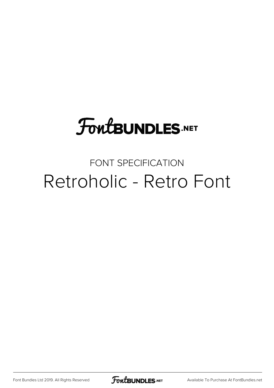# **FoutBUNDLES.NET**

## FONT SPECIFICATION Retroholic - Retro Font

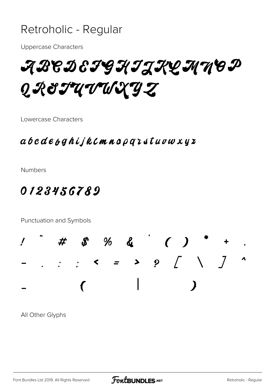#### Retroholic - Regular

**Uppercase Characters** 

ABCDEFGHIJKQMMOP QR&IUVWXYZ

Lowercase Characters

#### $a\,b\,c\,d\,e\,b\,g\,h\,ij\,k\,c$ mno $\rho\,q\,i\,s\,t\,u\,v\,w\,x\,y\,z$

**Numbers** 

### 0123456789

Punctuation and Symbols



All Other Glyphs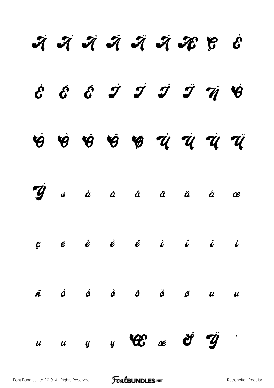|  |  | में में मैं मैं मैं मैं मी है                                                                                                                                                                                                                                                                                                                                                                                                                                                                                 |  |  |
|--|--|---------------------------------------------------------------------------------------------------------------------------------------------------------------------------------------------------------------------------------------------------------------------------------------------------------------------------------------------------------------------------------------------------------------------------------------------------------------------------------------------------------------|--|--|
|  |  | $\acute{c}$ $\acute{c}$ $\acute{c}$ $\acute{J}$ $\acute{J}$ $\acute{J}$ $\ddot{\acute{J}}$ $\ddot{\acute{q}}$                                                                                                                                                                                                                                                                                                                                                                                                 |  |  |
|  |  | 4 4 4 5 4 6 7 7 7 7 7                                                                                                                                                                                                                                                                                                                                                                                                                                                                                         |  |  |
|  |  | Tý sà á â ã ä å æ                                                                                                                                                                                                                                                                                                                                                                                                                                                                                             |  |  |
|  |  | $\begin{array}{ccccccccccccccccc} \mathcal{C} & & \mathcal{C} & & \mathcal{\hat{C}} & & \mathcal{\hat{C}} & & \mathcal{\hat{C}} & & \mathcal{\hat{C}} & & \mathcal{\hat{C}} & & \mathcal{\hat{C}} & & \mathcal{\hat{C}} & & \mathcal{\hat{C}} & & \mathcal{\hat{C}} & & \mathcal{\hat{C}} & & \mathcal{\hat{C}} & & \mathcal{\hat{C}} & & \mathcal{\hat{C}} & & \mathcal{\hat{C}} & & \mathcal{\hat{C}} & & \mathcal{\hat{C}} & & \mathcal{\hat{C}} & & \mathcal{\hat{C}} & & \mathcal{\hat{C}} & & \mathcal$ |  |  |
|  |  | ñ d á d ā ä d u u                                                                                                                                                                                                                                                                                                                                                                                                                                                                                             |  |  |
|  |  |                                                                                                                                                                                                                                                                                                                                                                                                                                                                                                               |  |  |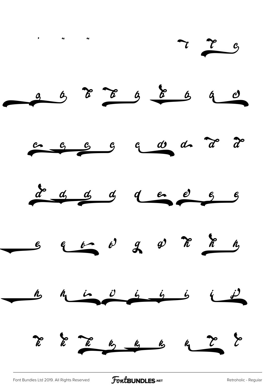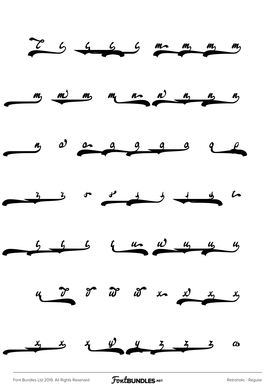

[Font Bundles Ltd 2019. All Rights Reserved](https://fontbundles.net/) **FoutBUNDLES.NET** [Retroholic - Regular](https://fontbundles.net/)